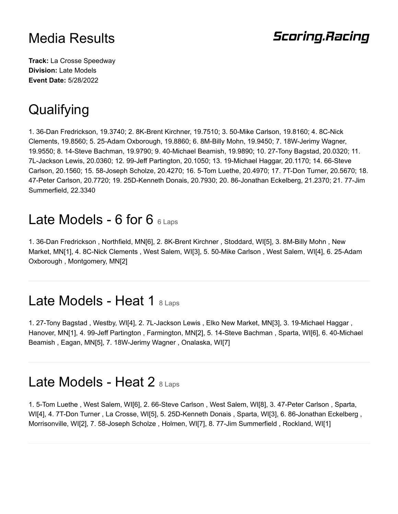#### **Scoring.Racing**

**Track:** La Crosse Speedway **Division:** Late Models **Event Date:** 5/28/2022

# **Qualifying**

1. 36-Dan Fredrickson, 19.3740; 2. 8K-Brent Kirchner, 19.7510; 3. 50-Mike Carlson, 19.8160; 4. 8C-Nick Clements, 19.8560; 5. 25-Adam Oxborough, 19.8860; 6. 8M-Billy Mohn, 19.9450; 7. 18W-Jerimy Wagner, 19.9550; 8. 14-Steve Bachman, 19.9790; 9. 40-Michael Beamish, 19.9890; 10. 27-Tony Bagstad, 20.0320; 11. 7L-Jackson Lewis, 20.0360; 12. 99-Jeff Partington, 20.1050; 13. 19-Michael Haggar, 20.1170; 14. 66-Steve Carlson, 20.1560; 15. 58-Joseph Scholze, 20.4270; 16. 5-Tom Luethe, 20.4970; 17. 7T-Don Turner, 20.5670; 18. 47-Peter Carlson, 20.7720; 19. 25D-Kenneth Donais, 20.7930; 20. 86-Jonathan Eckelberg, 21.2370; 21. 77-Jim Summerfield, 22.3340

#### Late Models - 6 for 6  $6$  Laps

1. 36-Dan Fredrickson , Northfield, MN[6], 2. 8K-Brent Kirchner , Stoddard, WI[5], 3. 8M-Billy Mohn , New Market, MN[1], 4. 8C-Nick Clements , West Salem, WI[3], 5. 50-Mike Carlson , West Salem, WI[4], 6. 25-Adam Oxborough , Montgomery, MN[2]

#### Late Models - Heat 1 8 Laps

1. 27-Tony Bagstad , Westby, WI[4], 2. 7L-Jackson Lewis , Elko New Market, MN[3], 3. 19-Michael Haggar , Hanover, MN[1], 4. 99-Jeff Partington , Farmington, MN[2], 5. 14-Steve Bachman , Sparta, WI[6], 6. 40-Michael Beamish , Eagan, MN[5], 7. 18W-Jerimy Wagner , Onalaska, WI[7]

#### Late Models - Heat 2 8 Laps

1. 5-Tom Luethe , West Salem, WI[6], 2. 66-Steve Carlson , West Salem, WI[8], 3. 47-Peter Carlson , Sparta, WI[4], 4. 7T-Don Turner , La Crosse, WI[5], 5. 25D-Kenneth Donais , Sparta, WI[3], 6. 86-Jonathan Eckelberg , Morrisonville, WI[2], 7. 58-Joseph Scholze , Holmen, WI[7], 8. 77-Jim Summerfield , Rockland, WI[1]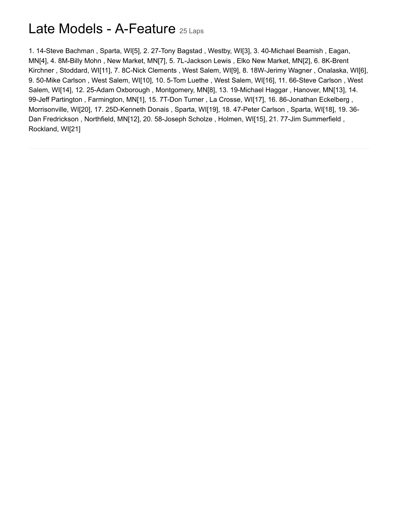### Late Models - A-Feature 25 Laps

1. 14-Steve Bachman , Sparta, WI[5], 2. 27-Tony Bagstad , Westby, WI[3], 3. 40-Michael Beamish , Eagan, MN[4], 4. 8M-Billy Mohn , New Market, MN[7], 5. 7L-Jackson Lewis , Elko New Market, MN[2], 6. 8K-Brent Kirchner , Stoddard, WI[11], 7. 8C-Nick Clements , West Salem, WI[9], 8. 18W-Jerimy Wagner , Onalaska, WI[6], 9. 50-Mike Carlson , West Salem, WI[10], 10. 5-Tom Luethe , West Salem, WI[16], 11. 66-Steve Carlson , West Salem, WI[14], 12. 25-Adam Oxborough , Montgomery, MN[8], 13. 19-Michael Haggar , Hanover, MN[13], 14. 99-Jeff Partington , Farmington, MN[1], 15. 7T-Don Turner , La Crosse, WI[17], 16. 86-Jonathan Eckelberg , Morrisonville, WI[20], 17. 25D-Kenneth Donais , Sparta, WI[19], 18. 47-Peter Carlson , Sparta, WI[18], 19. 36- Dan Fredrickson , Northfield, MN[12], 20. 58-Joseph Scholze , Holmen, WI[15], 21. 77-Jim Summerfield , Rockland, WI[21]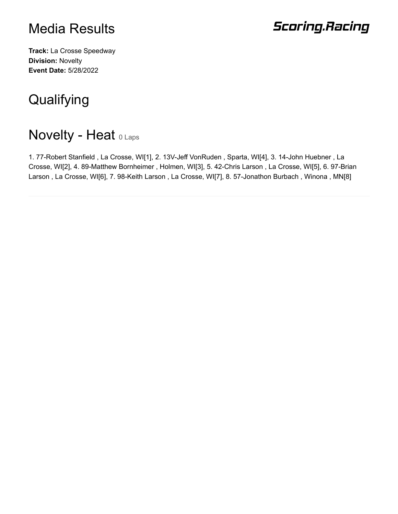# **Scoring.Racing**

**Track:** La Crosse Speedway **Division:** Novelty **Event Date:** 5/28/2022

# **Qualifying**

# **Novelty - Heat O Laps**

1. 77-Robert Stanfield , La Crosse, WI[1], 2. 13V-Jeff VonRuden , Sparta, WI[4], 3. 14-John Huebner , La Crosse, WI[2], 4. 89-Matthew Bornheimer , Holmen, WI[3], 5. 42-Chris Larson , La Crosse, WI[5], 6. 97-Brian Larson , La Crosse, WI[6], 7. 98-Keith Larson , La Crosse, WI[7], 8. 57-Jonathon Burbach , Winona , MN[8]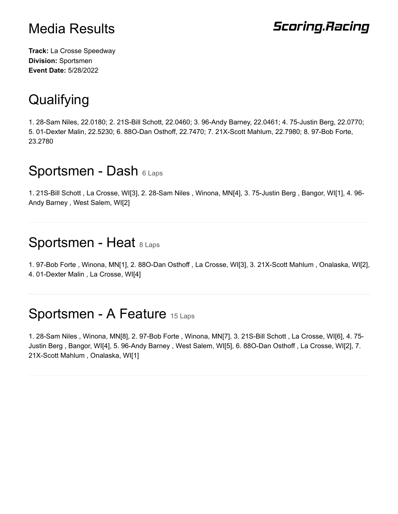# **Scoring.Racing**

**Track:** La Crosse Speedway **Division:** Sportsmen **Event Date:** 5/28/2022

# **Qualifying**

1. 28-Sam Niles, 22.0180; 2. 21S-Bill Schott, 22.0460; 3. 96-Andy Barney, 22.0461; 4. 75-Justin Berg, 22.0770; 5. 01-Dexter Malin, 22.5230; 6. 88O-Dan Osthoff, 22.7470; 7. 21X-Scott Mahlum, 22.7980; 8. 97-Bob Forte, 23.2780

#### Sportsmen - Dash 6 Laps

1. 21S-Bill Schott , La Crosse, WI[3], 2. 28-Sam Niles , Winona, MN[4], 3. 75-Justin Berg , Bangor, WI[1], 4. 96- Andy Barney , West Salem, WI[2]

#### Sportsmen - Heat 8 Laps

1. 97-Bob Forte , Winona, MN[1], 2. 88O-Dan Osthoff , La Crosse, WI[3], 3. 21X-Scott Mahlum , Onalaska, WI[2], 4. 01-Dexter Malin , La Crosse, WI[4]

# Sportsmen - A Feature 15 Laps

1. 28-Sam Niles , Winona, MN[8], 2. 97-Bob Forte , Winona, MN[7], 3. 21S-Bill Schott , La Crosse, WI[6], 4. 75- Justin Berg , Bangor, WI[4], 5. 96-Andy Barney , West Salem, WI[5], 6. 88O-Dan Osthoff , La Crosse, WI[2], 7. 21X-Scott Mahlum , Onalaska, WI[1]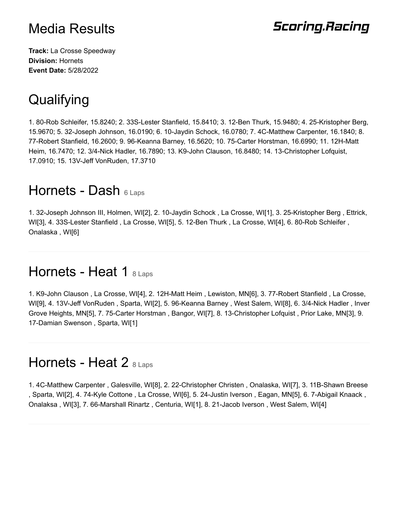## **Scoring.Racing**

**Track:** La Crosse Speedway **Division:** Hornets **Event Date:** 5/28/2022

# **Qualifying**

1. 80-Rob Schleifer, 15.8240; 2. 33S-Lester Stanfield, 15.8410; 3. 12-Ben Thurk, 15.9480; 4. 25-Kristopher Berg, 15.9670; 5. 32-Joseph Johnson, 16.0190; 6. 10-Jaydin Schock, 16.0780; 7. 4C-Matthew Carpenter, 16.1840; 8. 77-Robert Stanfield, 16.2600; 9. 96-Keanna Barney, 16.5620; 10. 75-Carter Horstman, 16.6990; 11. 12H-Matt Heim, 16.7470; 12. 3/4-Nick Hadler, 16.7890; 13. K9-John Clauson, 16.8480; 14. 13-Christopher Lofquist, 17.0910; 15. 13V-Jeff VonRuden, 17.3710

## Hornets - Dash 6 Laps

1. 32-Joseph Johnson III, Holmen, WI[2], 2. 10-Jaydin Schock , La Crosse, WI[1], 3. 25-Kristopher Berg , Ettrick, WI[3], 4. 33S-Lester Stanfield , La Crosse, WI[5], 5. 12-Ben Thurk , La Crosse, WI[4], 6. 80-Rob Schleifer , Onalaska , WI[6]

#### Hornets - Heat 1  $_{8 \text{ Laps}}$

1. K9-John Clauson , La Crosse, WI[4], 2. 12H-Matt Heim , Lewiston, MN[6], 3. 77-Robert Stanfield , La Crosse, WI[9], 4. 13V-Jeff VonRuden , Sparta, WI[2], 5. 96-Keanna Barney , West Salem, WI[8], 6. 3/4-Nick Hadler , Inver Grove Heights, MN[5], 7. 75-Carter Horstman , Bangor, WI[7], 8. 13-Christopher Lofquist , Prior Lake, MN[3], 9. 17-Damian Swenson , Sparta, WI[1]

#### Hornets - Heat 2 8 Laps

1. 4C-Matthew Carpenter , Galesville, WI[8], 2. 22-Christopher Christen , Onalaska, WI[7], 3. 11B-Shawn Breese , Sparta, WI[2], 4. 74-Kyle Cottone , La Crosse, WI[6], 5. 24-Justin Iverson , Eagan, MN[5], 6. 7-Abigail Knaack , Onalaksa , WI[3], 7. 66-Marshall Rinartz , Centuria, WI[1], 8. 21-Jacob Iverson , West Salem, WI[4]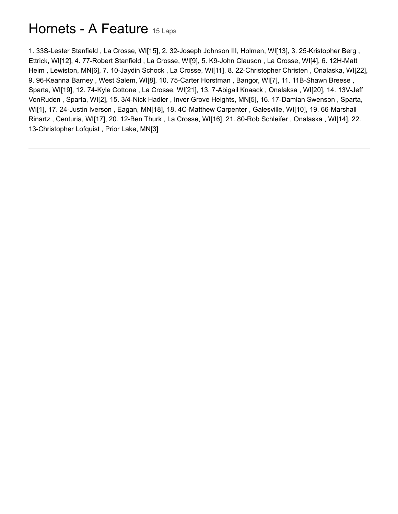## Hornets - A Feature 15 Laps

1. 33S-Lester Stanfield , La Crosse, WI[15], 2. 32-Joseph Johnson III, Holmen, WI[13], 3. 25-Kristopher Berg , Ettrick, WI[12], 4. 77-Robert Stanfield , La Crosse, WI[9], 5. K9-John Clauson , La Crosse, WI[4], 6. 12H-Matt Heim , Lewiston, MN[6], 7. 10-Jaydin Schock , La Crosse, WI[11], 8. 22-Christopher Christen , Onalaska, WI[22], 9. 96-Keanna Barney , West Salem, WI[8], 10. 75-Carter Horstman , Bangor, WI[7], 11. 11B-Shawn Breese , Sparta, WI[19], 12. 74-Kyle Cottone , La Crosse, WI[21], 13. 7-Abigail Knaack , Onalaksa , WI[20], 14. 13V-Jeff VonRuden , Sparta, WI[2], 15. 3/4-Nick Hadler , Inver Grove Heights, MN[5], 16. 17-Damian Swenson , Sparta, WI[1], 17. 24-Justin Iverson , Eagan, MN[18], 18. 4C-Matthew Carpenter , Galesville, WI[10], 19. 66-Marshall Rinartz , Centuria, WI[17], 20. 12-Ben Thurk , La Crosse, WI[16], 21. 80-Rob Schleifer , Onalaska , WI[14], 22. 13-Christopher Lofquist , Prior Lake, MN[3]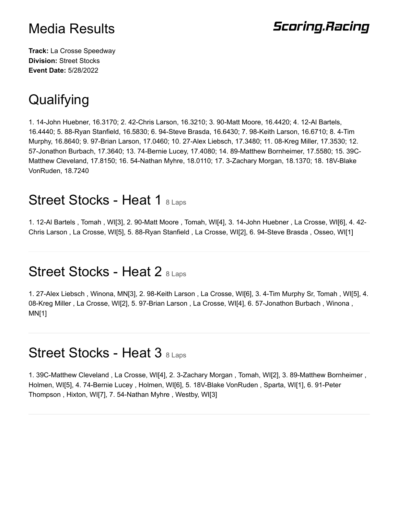# **Scoring.Racing**

**Track:** La Crosse Speedway **Division:** Street Stocks **Event Date:** 5/28/2022

# **Qualifying**

1. 14-John Huebner, 16.3170; 2. 42-Chris Larson, 16.3210; 3. 90-Matt Moore, 16.4420; 4. 12-Al Bartels, 16.4440; 5. 88-Ryan Stanfield, 16.5830; 6. 94-Steve Brasda, 16.6430; 7. 98-Keith Larson, 16.6710; 8. 4-Tim Murphy, 16.8640; 9. 97-Brian Larson, 17.0460; 10. 27-Alex Liebsch, 17.3480; 11. 08-Kreg Miller, 17.3530; 12. 57-Jonathon Burbach, 17.3640; 13. 74-Bernie Lucey, 17.4080; 14. 89-Matthew Bornheimer, 17.5580; 15. 39C-Matthew Cleveland, 17.8150; 16. 54-Nathan Myhre, 18.0110; 17. 3-Zachary Morgan, 18.1370; 18. 18V-Blake VonRuden, 18.7240

#### Street Stocks - Heat 1 8 Laps

1. 12-Al Bartels , Tomah , WI[3], 2. 90-Matt Moore , Tomah, WI[4], 3. 14-John Huebner , La Crosse, WI[6], 4. 42- Chris Larson , La Crosse, WI[5], 5. 88-Ryan Stanfield , La Crosse, WI[2], 6. 94-Steve Brasda , Osseo, WI[1]

#### Street Stocks - Heat 2 8 Laps

1. 27-Alex Liebsch , Winona, MN[3], 2. 98-Keith Larson , La Crosse, WI[6], 3. 4-Tim Murphy Sr, Tomah , WI[5], 4. 08-Kreg Miller , La Crosse, WI[2], 5. 97-Brian Larson , La Crosse, WI[4], 6. 57-Jonathon Burbach , Winona , MN[1]

## Street Stocks - Heat 3 8 Laps

1. 39C-Matthew Cleveland , La Crosse, WI[4], 2. 3-Zachary Morgan , Tomah, WI[2], 3. 89-Matthew Bornheimer , Holmen, WI[5], 4. 74-Bernie Lucey , Holmen, WI[6], 5. 18V-Blake VonRuden , Sparta, WI[1], 6. 91-Peter Thompson , Hixton, WI[7], 7. 54-Nathan Myhre , Westby, WI[3]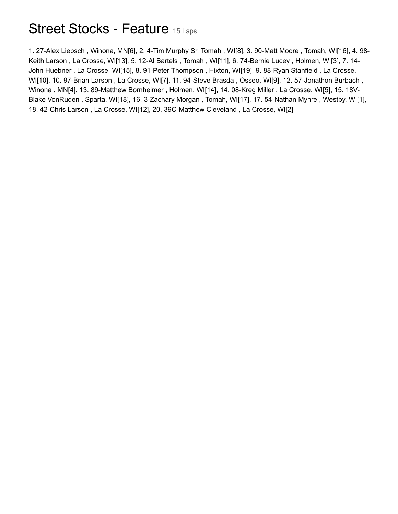### Street Stocks - Feature 15 Laps

1. 27-Alex Liebsch , Winona, MN[6], 2. 4-Tim Murphy Sr, Tomah , WI[8], 3. 90-Matt Moore , Tomah, WI[16], 4. 98- Keith Larson , La Crosse, WI[13], 5. 12-Al Bartels , Tomah , WI[11], 6. 74-Bernie Lucey , Holmen, WI[3], 7. 14- John Huebner , La Crosse, WI[15], 8. 91-Peter Thompson , Hixton, WI[19], 9. 88-Ryan Stanfield , La Crosse, WI[10], 10. 97-Brian Larson , La Crosse, WI[7], 11. 94-Steve Brasda , Osseo, WI[9], 12. 57-Jonathon Burbach , Winona , MN[4], 13. 89-Matthew Bornheimer , Holmen, WI[14], 14. 08-Kreg Miller , La Crosse, WI[5], 15. 18V-Blake VonRuden , Sparta, WI[18], 16. 3-Zachary Morgan , Tomah, WI[17], 17. 54-Nathan Myhre , Westby, WI[1], 18. 42-Chris Larson , La Crosse, WI[12], 20. 39C-Matthew Cleveland , La Crosse, WI[2]